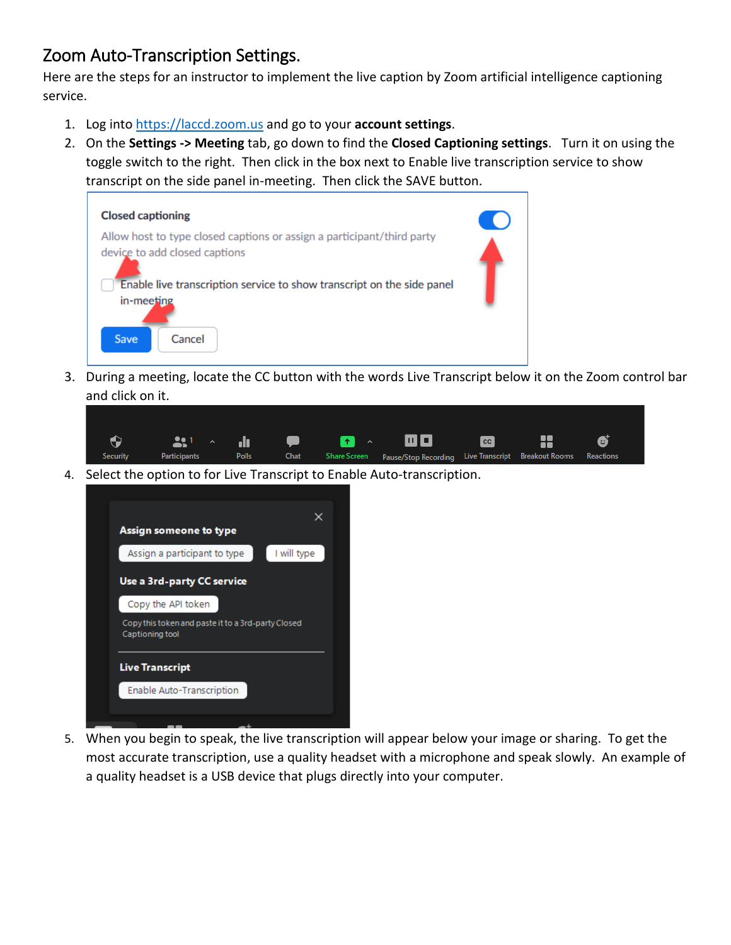## Zoom Auto-Transcription Settings.

Here are the steps for an instructor to implement the live caption by Zoom artificial intelligence captioning service.

- 1. Log into [https://laccd.zoom.us](https://laccd.zoom.us/) and go to your **account settings**.
- 2. On the **Settings -> Meeting** tab, go down to find the **Closed Captioning settings**. Turn it on using the toggle switch to the right. Then click in the box next to Enable live transcription service to show transcript on the side panel in-meeting. Then click the SAVE button.



3. During a meeting, locate the CC button with the words Live Transcript below it on the Zoom control bar and click on it.

|          |              |       |  | $\begin{picture}(160,40) \put(0,0){\line(1,0){100}} \put(150,0){\line(1,0){100}} \put(150,0){\line(1,0){100}} \put(150,0){\line(1,0){100}} \put(150,0){\line(1,0){100}} \put(150,0){\line(1,0){100}} \put(150,0){\line(1,0){100}} \put(150,0){\line(1,0){100}} \put(150,0){\line(1,0){100}} \put(150,0){\line(1,0){100}} \put(150,0){\$ |  | ø         |  |
|----------|--------------|-------|--|-----------------------------------------------------------------------------------------------------------------------------------------------------------------------------------------------------------------------------------------------------------------------------------------------------------------------------------------|--|-----------|--|
| Security | Participants | Polls |  | Chat Share Screen Pause/Stop Recording Live Transcript Breakout Rooms                                                                                                                                                                                                                                                                   |  | Reactions |  |

4. Select the option to for Live Transcript to Enable Auto-transcription.



5. When you begin to speak, the live transcription will appear below your image or sharing. To get the most accurate transcription, use a quality headset with a microphone and speak slowly. An example of a quality headset is a USB device that plugs directly into your computer.